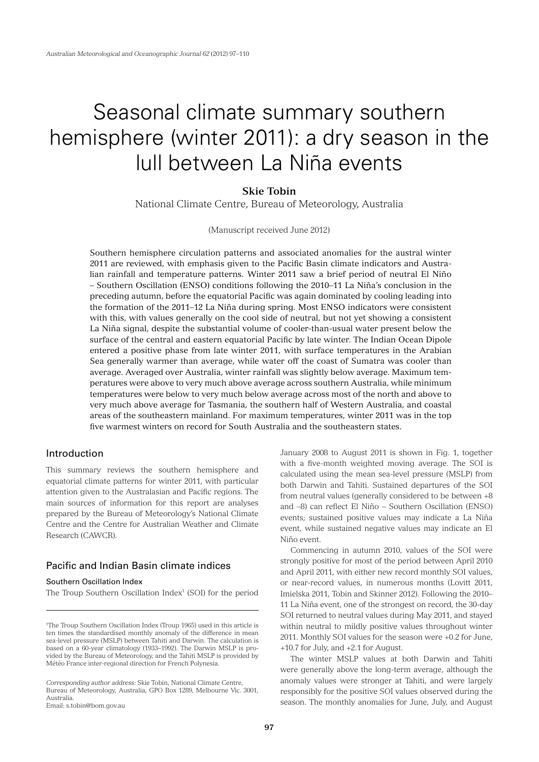# Seasonal climate summary southern hemisphere (winter 2011): a dry season in the lull between La Niña events

# **Skie Tobin**

National Climate Centre, Bureau of Meteorology, Australia

(Manuscript received June 2012)

Southern hemisphere circulation patterns and associated anomalies for the austral winter 2011 are reviewed, with emphasis given to the Pacific Basin climate indicators and Australian rainfall and temperature patterns. Winter 2011 saw a brief period of neutral El Niño – Southern Oscillation (ENSO) conditions following the 2010–11 La Niña's conclusion in the preceding autumn, before the equatorial Pacific was again dominated by cooling leading into the formation of the 2011–12 La Niña during spring. Most ENSO indicators were consistent with this, with values generally on the cool side of neutral, but not yet showing a consistent La Niña signal, despite the substantial volume of cooler-than-usual water present below the surface of the central and eastern equatorial Pacific by late winter. The Indian Ocean Dipole entered a positive phase from late winter 2011, with surface temperatures in the Arabian Sea generally warmer than average, while water off the coast of Sumatra was cooler than average. Averaged over Australia, winter rainfall was slightly below average. Maximum temperatures were above to very much above average across southern Australia, while minimum temperatures were below to very much below average across most of the north and above to very much above average for Tasmania, the southern half of Western Australia, and coastal areas of the southeastern mainland. For maximum temperatures, winter 2011 was in the top five warmest winters on record for South Australia and the southeastern states.

# Introduction

This summary reviews the southern hemisphere and equatorial climate patterns for winter 2011, with particular attention given to the Australasian and Pacific regions. The main sources of information for this report are analyses prepared by the Bureau of Meteorology's National Climate Centre and the Centre for Australian Weather and Climate Research (CAWCR).

# Pacific and Indian Basin climate indices

# Southern Oscillation Index

The Troup Southern Oscillation Index<sup>1</sup> (SOI) for the period

*Corresponding author address:* Skie Tobin, National Climate Centre, Bureau of Meteorology, Australia, GPO Box 1289, Melbourne Vic. 3001, Australia.

Email: s.tobin@bom.gov.au

January 2008 to August 2011 is shown in Fig. 1, together with a five-month weighted moving average. The SOI is calculated using the mean sea-level pressure (MSLP) from both Darwin and Tahiti. Sustained departures of the SOI from neutral values (generally considered to be between +8 and –8) can reflect El Niño – Southern Oscillation (ENSO) events; sustained positive values may indicate a La Niña event, while sustained negative values may indicate an El Niño event.

Commencing in autumn 2010, values of the SOI were strongly positive for most of the period between April 2010 and April 2011, with either new record monthly SOI values, or near-record values, in numerous months (Lovitt 2011, Imielska 2011, Tobin and Skinner 2012). Following the 2010– 11 La Niña event, one of the strongest on record, the 30-day SOI returned to neutral values during May 2011, and stayed within neutral to mildly positive values throughout winter 2011. Monthly SOI values for the season were +0.2 for June, +10.7 for July, and +2.1 for August.

The winter MSLP values at both Darwin and Tahiti were generally above the long-term average, although the anomaly values were stronger at Tahiti, and were largely responsibly for the positive SOI values observed during the season. The monthly anomalies for June, July, and August

<sup>1</sup> The Troup Southern Oscillation Index (Troup 1965) used in this article is ten times the standardised monthly anomaly of the difference in mean sea-level pressure (MSLP) between Tahiti and Darwin. The calculation is based on a 60-year climatology (1933–1992). The Darwin MSLP is provided by the Bureau of Meteorology, and the Tahiti MSLP is provided by Météo France inter-regional direction for French Polynesia.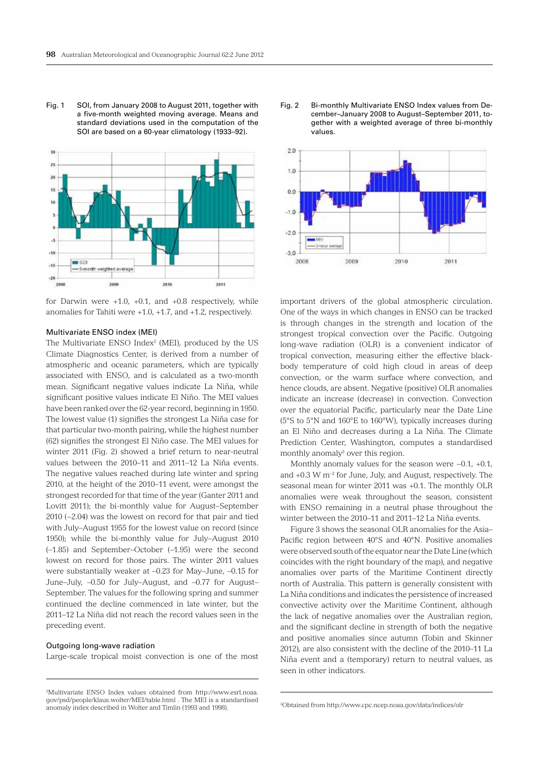Fig. 1 SOI, from January 2008 to August 2011, together with a five-month weighted moving average. Means and standard deviations used in the computation of the SOI are based on a 60-year climatology (1933–92).





# Multivariate ENSO index (MEI)

The Multivariate ENSO Index<sup>2</sup> (MEI), produced by the US Climate Diagnostics Center, is derived from a number of atmospheric and oceanic parameters, which are typically associated with ENSO, and is calculated as a two-month mean. Significant negative values indicate La Niña, while significant positive values indicate El Niño. The MEI values have been ranked over the 62-year record, beginning in 1950. The lowest value (1) signifies the strongest La Niña case for that particular two-month pairing, while the highest number (62) signifies the strongest El Niño case. The MEI values for winter 2011 (Fig. 2) showed a brief return to near-neutral values between the 2010–11 and 2011–12 La Niña events. The negative values reached during late winter and spring 2010, at the height of the 2010–11 event, were amongst the strongest recorded for that time of the year (Ganter 2011 and Lovitt 2011); the bi-monthly value for August–September 2010 (−2.04) was the lowest on record for that pair and tied with July–August 1955 for the lowest value on record (since 1950); while the bi-monthly value for July–August 2010 (–1.85) and September–October (–1.95) were the second lowest on record for those pairs. The winter 2011 values were substantially weaker at –0.23 for May–June, –0.15 for June–July, –0.50 for July–August, and –0.77 for August– September. The values for the following spring and summer continued the decline commenced in late winter, but the 2011–12 La Niña did not reach the record values seen in the preceding event.

#### Outgoing long-wave radiation

Large-scale tropical moist convection is one of the most





important drivers of the global atmospheric circulation. One of the ways in which changes in ENSO can be tracked is through changes in the strength and location of the strongest tropical convection over the Pacific. Outgoing long-wave radiation (OLR) is a convenient indicator of tropical convection, measuring either the effective blackbody temperature of cold high cloud in areas of deep convection, or the warm surface where convection, and hence clouds, are absent. Negative (positive) OLR anomalies indicate an increase (decrease) in convection. Convection over the equatorial Pacific, particularly near the Date Line (5°S to 5°N and 160°E to 160°W), typically increases during an El Niño and decreases during a La Niña. The Climate Prediction Center, Washington, computes a standardised monthly anomaly<sup>3</sup> over this region.

Monthly anomaly values for the season were −0.1, +0.1, and  $+0.3$  W m<sup>-2</sup> for June, July, and August, respectively. The seasonal mean for winter 2011 was +0.1. The monthly OLR anomalies were weak throughout the season, consistent with ENSO remaining in a neutral phase throughout the winter between the 2010–11 and 2011–12 La Niña events.

Figure 3 shows the seasonal OLR anomalies for the Asia– Pacific region between 40°S and 40°N. Positive anomalies were observed south of the equator near the Date Line (which coincides with the right boundary of the map), and negative anomalies over parts of the Maritime Continent directly north of Australia. This pattern is generally consistent with La Niña conditions and indicates the persistence of increased convective activity over the Maritime Continent, although the lack of negative anomalies over the Australian region, and the significant decline in strength of both the negative and positive anomalies since autumn (Tobin and Skinner 2012), are also consistent with the decline of the 2010–11 La Niña event and a (temporary) return to neutral values, as seen in other indicators.

<sup>2</sup> Multivariate ENSO Index values obtained from http://www.esrl.noaa. gov/psd/people/klaus.wolter/MEI/table.html . The MEI is a standardised anomaly index described in Wolter and Timlin (1993 and 1998).

<sup>3</sup> Obtained from http://www.cpc.ncep.noaa.gov/data/indices/olr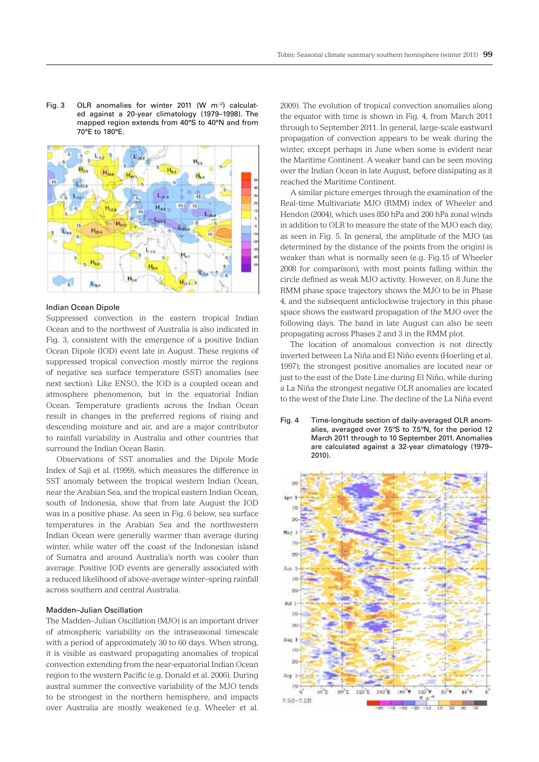Fig. 3 OLR anomalies for winter 2011 (W m−2) calculated against a 20-year climatology (1979–1998). The mapped region extends from 40°S to 40°N and from 70°E to 180°E.



#### Indian Ocean Dipole

Suppressed convection in the eastern tropical Indian Ocean and to the northwest of Australia is also indicated in Fig. 3, consistent with the emergence of a positive Indian Ocean Dipole (IOD) event late in August. These regions of suppressed tropical convection mostly mirror the regions of negative sea surface temperature (SST) anomalies (see next section). Like ENSO, the IOD is a coupled ocean and atmosphere phenomenon, but in the equatorial Indian Ocean. Temperature gradients across the Indian Ocean result in changes in the preferred regions of rising and descending moisture and air, and are a major contributor to rainfall variability in Australia and other countries that surround the Indian Ocean Basin.

Observations of SST anomalies and the Dipole Mode Index of Saji et al. (1999), which measures the difference in SST anomaly between the tropical western Indian Ocean, near the Arabian Sea, and the tropical eastern Indian Ocean, south of Indonesia, show that from late August the IOD was in a positive phase. As seen in Fig. 6 below, sea surface temperatures in the Arabian Sea and the northwestern Indian Ocean were generally warmer than average during winter, while water off the coast of the Indonesian island of Sumatra and around Australia's north was cooler than average. Positive IOD events are generally associated with a reduced likelihood of above-average winter–spring rainfall across southern and central Australia.

# Madden–Julian Oscillation

The Madden–Julian Oscillation (MJO) is an important driver of atmospheric variability on the intraseasonal timescale with a period of approximately 30 to 60 days. When strong, it is visible as eastward propagating anomalies of tropical convection extending from the near-equatorial Indian Ocean region to the western Pacific (e.g. Donald et al. 2006). During austral summer the convective variability of the MJO tends to be strongest in the northern hemisphere, and impacts over Australia are mostly weakened (e.g. Wheeler et al.

2009). The evolution of tropical convection anomalies along the equator with time is shown in Fig. 4, from March 2011 through to September 2011. In general, large-scale eastward propagation of convection appears to be weak during the winter, except perhaps in June when some is evident near the Maritime Continent. A weaker band can be seen moving over the Indian Ocean in late August, before dissipating as it reached the Maritime Continent.

A similar picture emerges through the examination of the Real-time Multivariate MJO (RMM) index of Wheeler and Hendon (2004), which uses 850 hPa and 200 hPa zonal winds in addition to OLR to measure the state of the MJO each day, as seen in Fig. 5. In general, the amplitude of the MJO (as determined by the distance of the points from the origin) is weaker than what is normally seen (e.g. Fig.15 of Wheeler 2008 for comparison), with most points falling within the circle defined as weak MJO activity. However, on 8 June the RMM phase space trajectory shows the MJO to be in Phase 4, and the subsequent anticlockwise trajectory in this phase space shows the eastward propagation of the MJO over the following days. The band in late August can also be seen propagating across Phases 2 and 3 in the RMM plot.

The location of anomalous convection is not directly inverted between La Niña and El Niño events (Hoerling et al. 1997); the strongest positive anomalies are located near or just to the east of the Date Line during El Niño, while during a La Niña the strongest negative OLR anomalies are located to the west of the Date Line. The decline of the La Niña event

Fig. 4 Time-longitude section of daily-averaged OLR anomalies, averaged over 7.5ºS to 7.5ºN, for the period 12 March 2011 through to 10 September 2011. Anomalies are calculated against a 32-year climatology (1979– 2010).

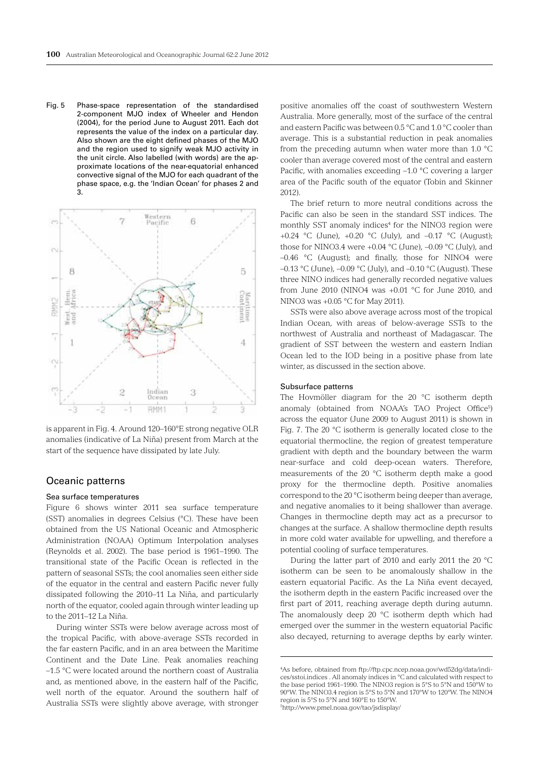Fig. 5 Phase-space representation of the standardised 2-component MJO index of Wheeler and Hendon (2004), for the period June to August 2011. Each dot represents the value of the index on a particular day. Also shown are the eight defined phases of the MJO and the region used to signify weak MJO activity in the unit circle. Also labelled (with words) are the approximate locations of the near-equatorial enhanced convective signal of the MJO for each quadrant of the phase space, e.g. the 'Indian Ocean' for phases 2 and 3.



is apparent in Fig. 4. Around 120–160°E strong negative OLR anomalies (indicative of La Niña) present from March at the start of the sequence have dissipated by late July.

# Oceanic patterns

#### Sea surface temperatures

Figure 6 shows winter 2011 sea surface temperature (SST) anomalies in degrees Celsius (°C). These have been obtained from the US National Oceanic and Atmospheric Administration (NOAA) Optimum Interpolation analyses (Reynolds et al. 2002). The base period is 1961–1990. The transitional state of the Pacific Ocean is reflected in the pattern of seasonal SSTs; the cool anomalies seen either side of the equator in the central and eastern Pacific never fully dissipated following the 2010–11 La Niña, and particularly north of the equator, cooled again through winter leading up to the 2011–12 La Niña.

During winter SSTs were below average across most of the tropical Pacific, with above-average SSTs recorded in the far eastern Pacific, and in an area between the Maritime Continent and the Date Line. Peak anomalies reaching –1.5 °C were located around the northern coast of Australia and, as mentioned above, in the eastern half of the Pacific, well north of the equator. Around the southern half of Australia SSTs were slightly above average, with stronger positive anomalies off the coast of southwestern Western Australia. More generally, most of the surface of the central and eastern Pacific was between 0.5 °C and 1.0 °C cooler than average. This is a substantial reduction in peak anomalies from the preceding autumn when water more than 1.0 °C cooler than average covered most of the central and eastern Pacific, with anomalies exceeding –1.0 °C covering a larger area of the Pacific south of the equator (Tobin and Skinner 2012).

The brief return to more neutral conditions across the Pacific can also be seen in the standard SST indices. The monthly SST anomaly indices<sup>4</sup> for the NINO3 region were +0.24 °C (June), +0.20 °C (July), and  $-0.17$  °C (August); those for NINO3.4 were  $+0.04$  °C (June),  $-0.09$  °C (July), and –0.46 °C (August); and finally, those for NINO4 were –0.13 °C (June), –0.09 °C (July), and –0.10 °C (August). These three NINO indices had generally recorded negative values from June 2010 (NINO4 was +0.01  $^{\circ}$ C for June 2010, and NINO3 was +0.05 °C for May 2011).

SSTs were also above average across most of the tropical Indian Ocean, with areas of below-average SSTs to the northwest of Australia and northeast of Madagascar. The gradient of SST between the western and eastern Indian Ocean led to the IOD being in a positive phase from late winter, as discussed in the section above.

## Subsurface patterns

The Hovmöller diagram for the 20 °C isotherm depth anomaly (obtained from NOAA's TAO Project Office<sup>5</sup>) across the equator (June 2009 to August 2011) is shown in Fig. 7. The 20 °C isotherm is generally located close to the equatorial thermocline, the region of greatest temperature gradient with depth and the boundary between the warm near-surface and cold deep-ocean waters. Therefore, measurements of the 20 °C isotherm depth make a good proxy for the thermocline depth. Positive anomalies correspond to the 20 °C isotherm being deeper than average, and negative anomalies to it being shallower than average. Changes in thermocline depth may act as a precursor to changes at the surface. A shallow thermocline depth results in more cold water available for upwelling, and therefore a potential cooling of surface temperatures.

During the latter part of 2010 and early 2011 the 20 °C isotherm can be seen to be anomalously shallow in the eastern equatorial Pacific. As the La Niña event decayed, the isotherm depth in the eastern Pacific increased over the first part of 2011, reaching average depth during autumn. The anomalously deep 20 °C isotherm depth which had emerged over the summer in the western equatorial Pacific also decayed, returning to average depths by early winter.

<sup>4</sup> As before, obtained from ftp://ftp.cpc.ncep.noaa.gov/wd52dg/data/indices/sstoi.indices . All anomaly indices in °C and calculated with respect to the base period 1961–1990. The NINO3 region is 5°S to 5°N and 150°W to 90°W. The NINO3.4 region is 5°S to 5°N and 170°W to 120°W. The NINO4 region is 5°S to 5°N and 160°E to 150°W. 5 http://www.pmel.noaa.gov/tao/jsdisplay/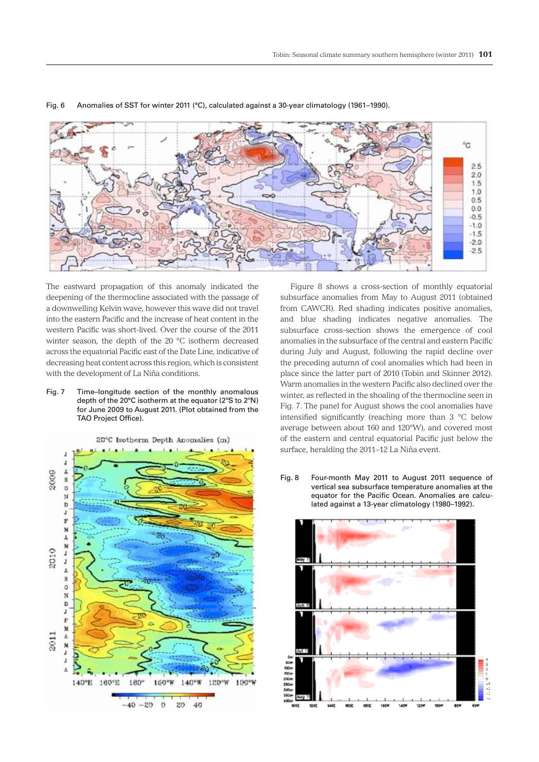

## Fig. 6 Anomalies of SST for winter 2011 (°C), calculated against a 30-year climatology (1961–1990).

The eastward propagation of this anomaly indicated the deepening of the thermocline associated with the passage of a downwelling Kelvin wave, however this wave did not travel into the eastern Pacific and the increase of heat content in the western Pacific was short-lived. Over the course of the 2011 winter season, the depth of the 20 °C isotherm decreased across the equatorial Pacific east of the Date Line, indicative of decreasing heat content across this region, which is consistent with the development of La Niña conditions.

Fig. 7 Time–longitude section of the monthly anomalous depth of the 20°C isotherm at the equator (2ºS to 2ºN) for June 2009 to August 2011. (Plot obtained from the TAO Project Office).



Figure 8 shows a cross-section of monthly equatorial subsurface anomalies from May to August 2011 (obtained from CAWCR). Red shading indicates positive anomalies, and blue shading indicates negative anomalies. The subsurface cross-section shows the emergence of cool anomalies in the subsurface of the central and eastern Pacific during July and August, following the rapid decline over the preceding autumn of cool anomalies which had been in place since the latter part of 2010 (Tobin and Skinner 2012). Warm anomalies in the western Pacific also declined over the winter, as reflected in the shoaling of the thermocline seen in Fig. 7. The panel for August shows the cool anomalies have intensified significantly (reaching more than 3 °C below average between about 160 and 120°W), and covered most of the eastern and central equatorial Pacific just below the surface, heralding the 2011–12 La Niña event.

Fig. 8 Four-month May 2011 to August 2011 sequence of vertical sea subsurface temperature anomalies at the equator for the Pacific Ocean. Anomalies are calculated against a 13-year climatology (1980–1992).

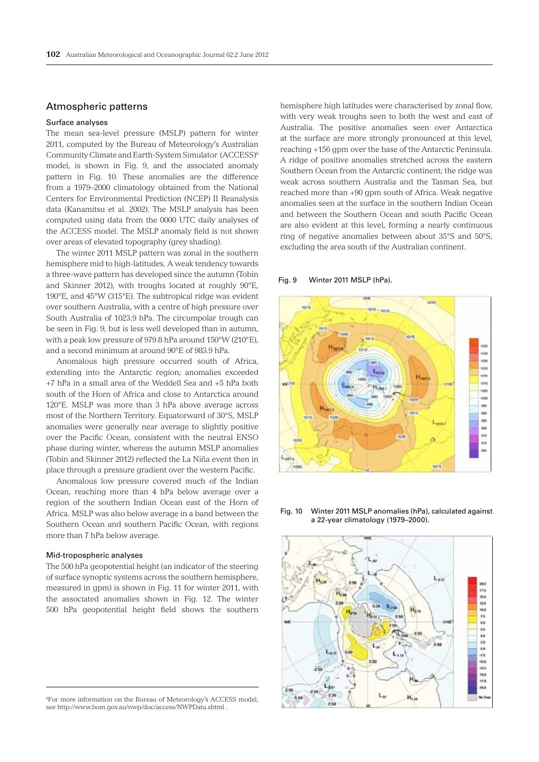# Atmospheric patterns

# Surface analyses

The mean sea-level pressure (MSLP) pattern for winter 2011, computed by the Bureau of Meteorology's Australian Community Climate and Earth-System Simulator (ACCESS)6 model, is shown in Fig. 9, and the associated anomaly pattern in Fig. 10. These anomalies are the difference from a 1979–2000 climatology obtained from the National Centers for Environmental Prediction (NCEP) II Reanalysis data (Kanamitsu et al. 2002). The MSLP analysis has been computed using data from the 0000 UTC daily analyses of the ACCESS model. The MSLP anomaly field is not shown over areas of elevated topography (grey shading).

The winter 2011 MSLP pattern was zonal in the southern hemisphere mid to high-latitudes. A weak tendency towards a three-wave pattern has developed since the autumn (Tobin and Skinner 2012), with troughs located at roughly 90°E, 190°E, and 45°W (315°E). The subtropical ridge was evident over southern Australia, with a centre of high pressure over South Australia of 1023.9 hPa. The circumpolar trough can be seen in Fig. 9, but is less well developed than in autumn, with a peak low pressure of 979.8 hPa around 150°W (210°E), and a second minimum at around 90°E of 983.9 hPa.

Anomalous high pressure occurred south of Africa, extending into the Antarctic region; anomalies exceeded +7 hPa in a small area of the Weddell Sea and +5 hPa both south of the Horn of Africa and close to Antarctica around 120°E. MSLP was more than 3 hPa above average across most of the Northern Territory. Equatorward of 30°S, MSLP anomalies were generally near average to slightly positive over the Pacific Ocean, consistent with the neutral ENSO phase during winter, whereas the autumn MSLP anomalies (Tobin and Skinner 2012) reflected the La Niña event then in place through a pressure gradient over the western Pacific.

Anomalous low pressure covered much of the Indian Ocean, reaching more than 4 hPa below average over a region of the southern Indian Ocean east of the Horn of Africa. MSLP was also below average in a band between the Southern Ocean and southern Pacific Ocean, with regions more than 7 hPa below average.

#### Mid-tropospheric analyses

The 500 hPa geopotential height (an indicator of the steering of surface synoptic systems across the southern hemisphere, measured in gpm) is shown in Fig. 11 for winter 2011, with the associated anomalies shown in Fig. 12. The winter 500 hPa geopotential height field shows the southern

6 For more information on the Bureau of Meteorology's ACCESS model, see http://www.bom.gov.au/nwp/doc/access/NWPData.shtml .

hemisphere high latitudes were characterised by zonal flow, with very weak troughs seen to both the west and east of Australia. The positive anomalies seen over Antarctica at the surface are more strongly pronounced at this level, reaching +156 gpm over the base of the Antarctic Peninsula. A ridge of positive anomalies stretched across the eastern Southern Ocean from the Antarctic continent; the ridge was weak across southern Australia and the Tasman Sea, but reached more than +90 gpm south of Africa. Weak negative anomalies seen at the surface in the southern Indian Ocean and between the Southern Ocean and south Pacific Ocean are also evident at this level, forming a nearly continuous ring of negative anomalies between about 35°S and 50°S, excluding the area south of the Australian continent.

## Fig. 9 Winter 2011 MSLP (hPa).



Fig. 10 Winter 2011 MSLP anomalies (hPa), calculated against a 22-year climatology (1979–2000).

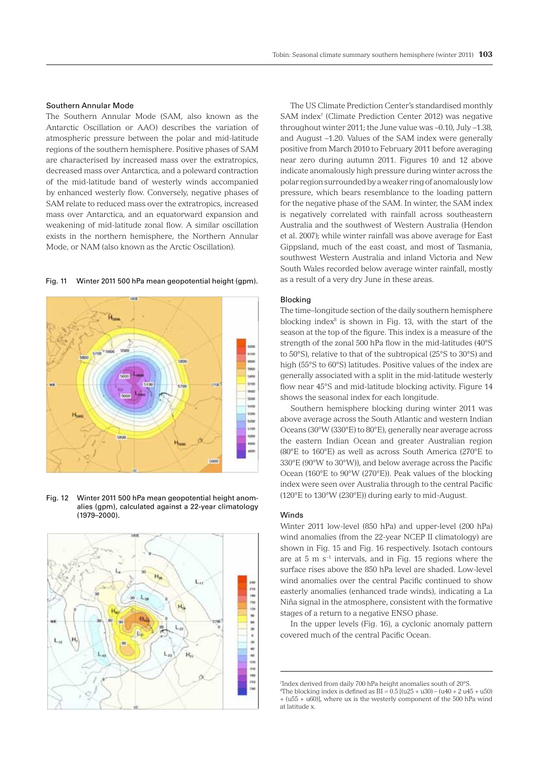## Southern Annular Mode

The Southern Annular Mode (SAM, also known as the Antarctic Oscillation or AAO) describes the variation of atmospheric pressure between the polar and mid-latitude regions of the southern hemisphere. Positive phases of SAM are characterised by increased mass over the extratropics, decreased mass over Antarctica, and a poleward contraction of the mid-latitude band of westerly winds accompanied by enhanced westerly flow. Conversely, negative phases of SAM relate to reduced mass over the extratropics, increased mass over Antarctica, and an equatorward expansion and weakening of mid-latitude zonal flow. A similar oscillation exists in the northern hemisphere, the Northern Annular Mode, or NAM (also known as the Arctic Oscillation).

sio

Fig. 11 Winter 2011 500 hPa mean geopotential height (gpm).

Fig. 12 Winter 2011 500 hPa mean geopotential height anomalies (gpm), calculated against a 22-year climatology (1979–2000).



The US Climate Prediction Center's standardised monthly SAM index<sup>7</sup> (Climate Prediction Center 2012) was negative throughout winter 2011; the June value was –0.10, July –1.38, and August –1.20. Values of the SAM index were generally positive from March 2010 to February 2011 before averaging near zero during autumn 2011. Figures 10 and 12 above indicate anomalously high pressure during winter across the polar region surrounded by a weaker ring of anomalously low pressure, which bears resemblance to the loading pattern for the negative phase of the SAM. In winter, the SAM index is negatively correlated with rainfall across southeastern Australia and the southwest of Western Australia (Hendon et al. 2007); while winter rainfall was above average for East Gippsland, much of the east coast, and most of Tasmania, southwest Western Australia and inland Victoria and New South Wales recorded below average winter rainfall, mostly as a result of a very dry June in these areas.

## Blocking

The time–longitude section of the daily southern hemisphere blocking index<sup>8</sup> is shown in Fig. 13, with the start of the season at the top of the figure. This index is a measure of the strength of the zonal 500 hPa flow in the mid-latitudes (40°S to 50°S), relative to that of the subtropical (25°S to 30°S) and high (55°S to 60°S) latitudes. Positive values of the index are generally associated with a split in the mid-latitude westerly flow near 45°S and mid-latitude blocking activity. Figure 14 shows the seasonal index for each longitude.

Southern hemisphere blocking during winter 2011 was above average across the South Atlantic and western Indian Oceans (30°W (330°E) to 80°E), generally near average across the eastern Indian Ocean and greater Australian region (80°E to 160°E) as well as across South America (270°E to 330°E (90°W to 30°W)), and below average across the Pacific Ocean (160°E to 90°W (270°E)). Peak values of the blocking index were seen over Australia through to the central Pacific (120°E to 130°W (230°E)) during early to mid-August.

#### Winds

Winter 2011 low-level (850 hPa) and upper-level (200 hPa) wind anomalies (from the 22-year NCEP II climatology) are shown in Fig. 15 and Fig. 16 respectively. Isotach contours are at 5 m s−1 intervals, and in Fig. 15 regions where the surface rises above the 850 hPa level are shaded. Low-level wind anomalies over the central Pacific continued to show easterly anomalies (enhanced trade winds), indicating a La Niña signal in the atmosphere, consistent with the formative stages of a return to a negative ENSO phase.

In the upper levels (Fig. 16), a cyclonic anomaly pattern covered much of the central Pacific Ocean.

<sup>&</sup>lt;sup>7</sup>Index derived from daily 700 hPa height anomalies south of 20°S. <sup>8</sup>The blocking index is defined as  $BI = 0.5$  [(u25 + u30) – (u40 + 2 u45 + u50) + (u55 + u60)], where ux is the westerly component of the 500 hPa wind at latitude x.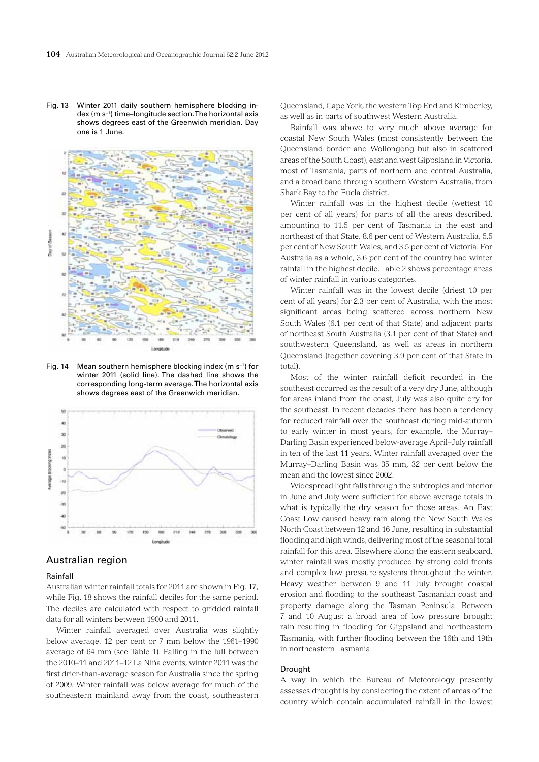Fig. 13 Winter 2011 daily southern hemisphere blocking index (m s−1) time–longitude section. The horizontal axis shows degrees east of the Greenwich meridian. Day one is 1 June.



Fig. 14 Mean southern hemisphere blocking index (m s−1) for winter 2011 (solid line). The dashed line shows the corresponding long-term average. The horizontal axis shows degrees east of the Greenwich meridian.



# Australian region

#### Rainfall

Australian winter rainfall totals for 2011 are shown in Fig. 17, while Fig. 18 shows the rainfall deciles for the same period. The deciles are calculated with respect to gridded rainfall data for all winters between 1900 and 2011.

Winter rainfall averaged over Australia was slightly below average: 12 per cent or 7 mm below the 1961–1990 average of 64 mm (see Table 1). Falling in the lull between the 2010–11 and 2011–12 La Niña events, winter 2011 was the first drier-than-average season for Australia since the spring of 2009. Winter rainfall was below average for much of the southeastern mainland away from the coast, southeastern Queensland, Cape York, the western Top End and Kimberley, as well as in parts of southwest Western Australia.

Rainfall was above to very much above average for coastal New South Wales (most consistently between the Queensland border and Wollongong but also in scattered areas of the South Coast), east and west Gippsland in Victoria, most of Tasmania, parts of northern and central Australia, and a broad band through southern Western Australia, from Shark Bay to the Eucla district.

Winter rainfall was in the highest decile (wettest 10 per cent of all years) for parts of all the areas described, amounting to 11.5 per cent of Tasmania in the east and northeast of that State, 8.6 per cent of Western Australia, 5.5 per cent of New South Wales, and 3.5 per cent of Victoria. For Australia as a whole, 3.6 per cent of the country had winter rainfall in the highest decile. Table 2 shows percentage areas of winter rainfall in various categories.

Winter rainfall was in the lowest decile (driest 10 per cent of all years) for 2.3 per cent of Australia, with the most significant areas being scattered across northern New South Wales (6.1 per cent of that State) and adjacent parts of northeast South Australia (3.1 per cent of that State) and southwestern Queensland, as well as areas in northern Queensland (together covering 3.9 per cent of that State in total).

Most of the winter rainfall deficit recorded in the southeast occurred as the result of a very dry June, although for areas inland from the coast, July was also quite dry for the southeast. In recent decades there has been a tendency for reduced rainfall over the southeast during mid-autumn to early winter in most years; for example, the Murray– Darling Basin experienced below-average April–July rainfall in ten of the last 11 years. Winter rainfall averaged over the Murray–Darling Basin was 35 mm, 32 per cent below the mean and the lowest since 2002.

Widespread light falls through the subtropics and interior in June and July were sufficient for above average totals in what is typically the dry season for those areas. An East Coast Low caused heavy rain along the New South Wales North Coast between 12 and 16 June, resulting in substantial flooding and high winds, delivering most of the seasonal total rainfall for this area. Elsewhere along the eastern seaboard, winter rainfall was mostly produced by strong cold fronts and complex low pressure systems throughout the winter. Heavy weather between 9 and 11 July brought coastal erosion and flooding to the southeast Tasmanian coast and property damage along the Tasman Peninsula. Between 7 and 10 August a broad area of low pressure brought rain resulting in flooding for Gippsland and northeastern Tasmania, with further flooding between the 16th and 19th in northeastern Tasmania.

## Drought

A way in which the Bureau of Meteorology presently assesses drought is by considering the extent of areas of the country which contain accumulated rainfall in the lowest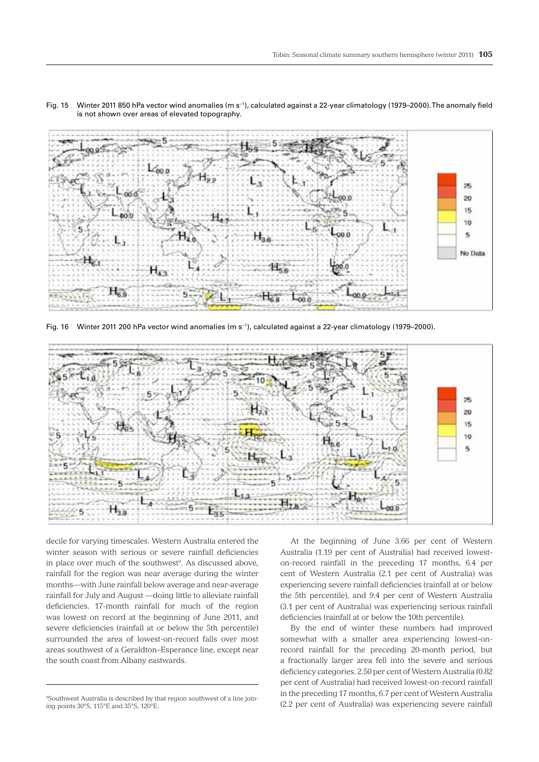

Fig. 15 Winter 2011 850 hPa vector wind anomalies (m s−1), calculated against a 22-year climatology (1979–2000). The anomaly field is not shown over areas of elevated topography.

Fig. 16 Winter 2011 200 hPa vector wind anomalies (m s−1), calculated against a 22-year climatology (1979–2000).



decile for varying timescales. Western Australia entered the winter season with serious or severe rainfall deficiencies in place over much of the southwest<sup>9</sup>. As discussed above, rainfall for the region was near average during the winter months—with June rainfall below average and near-average rainfall for July and August —doing little to alleviate rainfall deficiencies. 17-month rainfall for much of the region was lowest on record at the beginning of June 2011, and severe deficiencies (rainfall at or below the 5th percentile) surrounded the area of lowest-on-record falls over most areas southwest of a Geraldton–Esperance line, except near the south coast from Albany eastwards.

At the beginning of June 3.66 per cent of Western Australia (1.19 per cent of Australia) had received loweston-record rainfall in the preceding 17 months, 6.4 per cent of Western Australia (2.1 per cent of Australia) was experiencing severe rainfall deficiencies (rainfall at or below the 5th percentile), and 9.4 per cent of Western Australia (3.1 per cent of Australia) was experiencing serious rainfall deficiencies (rainfall at or below the 10th percentile).

By the end of winter these numbers had improved somewhat with a smaller area experiencing lowest-onrecord rainfall for the preceding 20-month period, but a fractionally larger area fell into the severe and serious deficiency categories. 2.50 per cent of Western Australia (0.82 per cent of Australia) had received lowest-on-record rainfall in the preceding 17 months, 6.7 per cent of Western Australia (2.2 per cent of Australia) was experiencing severe rainfall

<sup>9</sup> Southwest Australia is described by that region southwest of a line joining points 30°S, 115°E and 35°S, 120°E.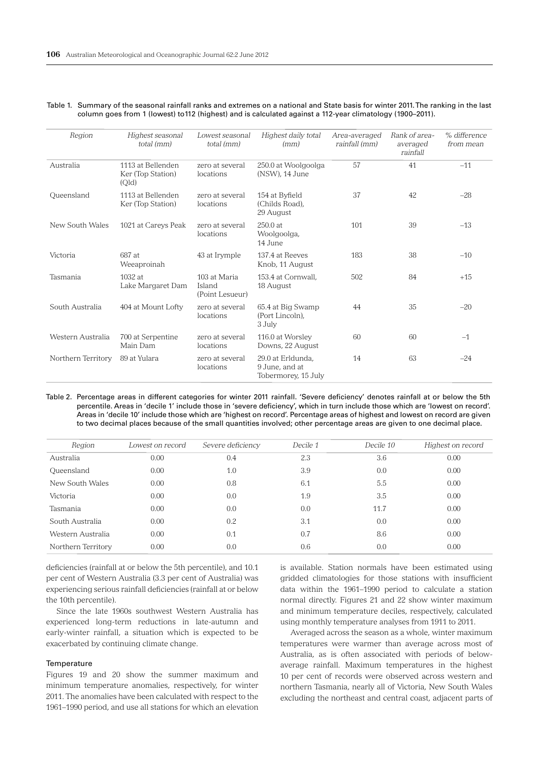| Region             | Highest seasonal<br>total (mm)                  | Lowest seasonal<br>total (mm)             | Highest daily total<br>(mm)                                | Area-averaged<br>rainfall (mm) | Rank of area-<br>averaged<br>rainfall | % difference<br>from mean |
|--------------------|-------------------------------------------------|-------------------------------------------|------------------------------------------------------------|--------------------------------|---------------------------------------|---------------------------|
| Australia          | 1113 at Bellenden<br>Ker (Top Station)<br>(Qld) | zero at several<br>locations              | 250.0 at Woolgoolga<br>(NSW), 14 June                      | 57                             | 41                                    | $-11$                     |
| Queensland         | 1113 at Bellenden<br>Ker (Top Station)          | zero at several<br>locations              | 154 at Byfield<br>(Childs Road),<br>29 August              | 37                             | 42                                    | $-28$                     |
| New South Wales    | 1021 at Careys Peak                             | zero at several<br>locations              | 250.0 at<br>Woolgoolga,<br>14 June                         | 101                            | 39                                    | $-13$                     |
| Victoria           | 687 at<br>Weeaproinah                           | 43 at Irymple                             | 137.4 at Reeves<br>Knob, 11 August                         | 183                            | 38                                    | $-10$                     |
| Tasmania           | $1032$ at<br>Lake Margaret Dam                  | 103 at Maria<br>Island<br>(Point Lesueur) | 153.4 at Cornwall.<br>18 August                            | 502                            | 84                                    | $+15$                     |
| South Australia    | 404 at Mount Lofty                              | zero at several<br>locations              | 65.4 at Big Swamp<br>(Port Lincoln).<br>3 July             | 44                             | 35                                    | $-20$                     |
| Western Australia  | 700 at Serpentine<br>Main Dam                   | zero at several<br>locations              | 116.0 at Worsley<br>Downs, 22 August                       | 60                             | 60                                    | $-1$                      |
| Northern Territory | 89 at Yulara                                    | zero at several<br>locations              | 29.0 at Erldunda.<br>9 June, and at<br>Tobermorey, 15 July | 14                             | 63                                    | $-24$                     |

#### Table 1. Summary of the seasonal rainfall ranks and extremes on a national and State basis for winter 2011. The ranking in the last column goes from 1 (lowest) to112 (highest) and is calculated against a 112-year climatology (1900–2011).

Table 2. Percentage areas in different categories for winter 2011 rainfall. 'Severe deficiency' denotes rainfall at or below the 5th percentile. Areas in 'decile 1' include those in 'severe deficiency', which in turn include those which are 'lowest on record'. Areas in 'decile 10' include those which are 'highest on record'. Percentage areas of highest and lowest on record are given to two decimal places because of the small quantities involved; other percentage areas are given to one decimal place.

| Region             | Lowest on record | Severe deficiency | Decile 1 | Decile 10 | Highest on record |
|--------------------|------------------|-------------------|----------|-----------|-------------------|
| Australia          | 0.00             | 0.4               | 2.3      | 3.6       | 0.00              |
| Queensland         | 0.00             | 1.0               | 3.9      | 0.0       | 0.00              |
| New South Wales    | 0.00             | 0.8               | 6.1      | 5.5       | 0.00              |
| Victoria           | 0.00             | 0.0               | 1.9      | 3.5       | 0.00              |
| Tasmania           | 0.00             | 0.0               | 0.0      | 11.7      | 0.00              |
| South Australia    | 0.00             | 0.2               | 3.1      | 0.0       | 0.00              |
| Western Australia  | 0.00             | 0.1               | 0.7      | 8.6       | 0.00              |
| Northern Territory | 0.00             | 0.0               | 0.6      | 0.0       | 0.00              |

deficiencies (rainfall at or below the 5th percentile), and 10.1 per cent of Western Australia (3.3 per cent of Australia) was experiencing serious rainfall deficiencies (rainfall at or below the 10th percentile).

Since the late 1960s southwest Western Australia has experienced long-term reductions in late-autumn and early-winter rainfall, a situation which is expected to be exacerbated by continuing climate change.

# **Temperature**

Figures 19 and 20 show the summer maximum and minimum temperature anomalies, respectively, for winter 2011. The anomalies have been calculated with respect to the 1961–1990 period, and use all stations for which an elevation

is available. Station normals have been estimated using gridded climatologies for those stations with insufficient data within the 1961–1990 period to calculate a station normal directly. Figures 21 and 22 show winter maximum and minimum temperature deciles, respectively, calculated using monthly temperature analyses from 1911 to 2011.

Averaged across the season as a whole, winter maximum temperatures were warmer than average across most of Australia, as is often associated with periods of belowaverage rainfall. Maximum temperatures in the highest 10 per cent of records were observed across western and northern Tasmania, nearly all of Victoria, New South Wales excluding the northeast and central coast, adjacent parts of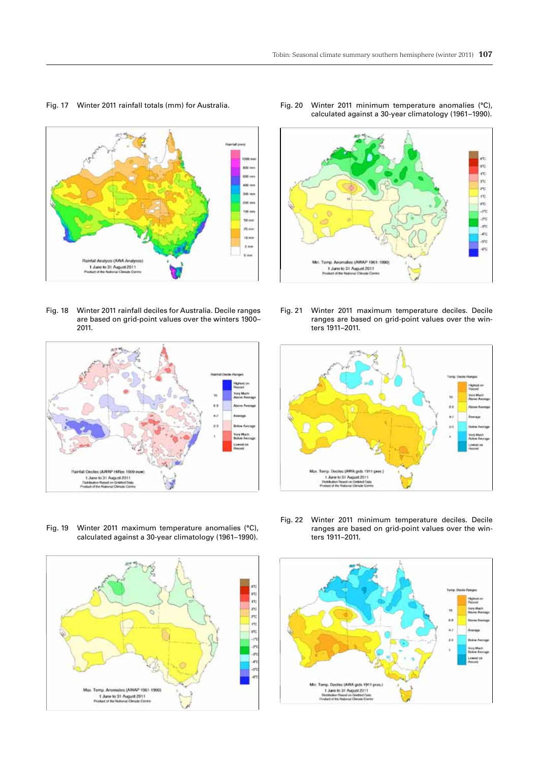

Fig. 17 Winter 2011 rainfall totals (mm) for Australia.





Fig. 19 Winter 2011 maximum temperature anomalies (°C), calculated against a 30-year climatology (1961–1990).



Fig. 20 Winter 2011 minimum temperature anomalies (°C), calculated against a 30-year climatology (1961–1990).



Fig. 21 Winter 2011 maximum temperature deciles. Decile ranges are based on grid-point values over the winters 1911–2011.



Fig. 22 Winter 2011 minimum temperature deciles. Decile ranges are based on grid-point values over the winters 1911–2011.

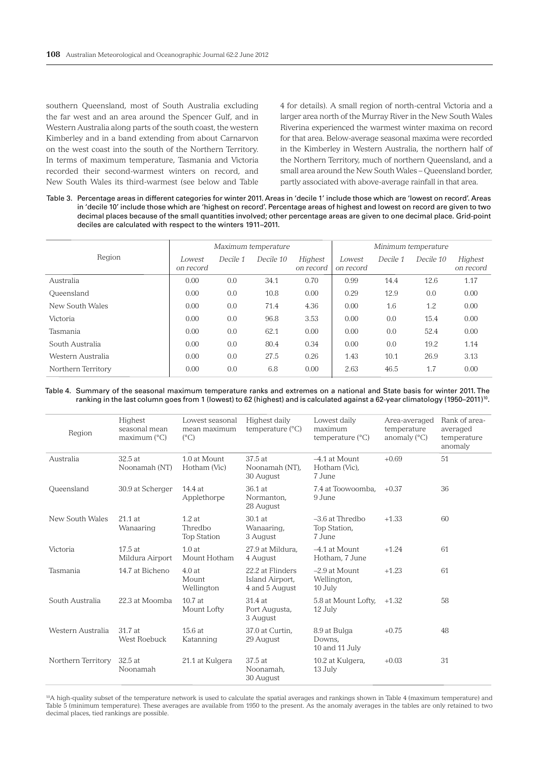southern Queensland, most of South Australia excluding the far west and an area around the Spencer Gulf, and in Western Australia along parts of the south coast, the western Kimberley and in a band extending from about Carnarvon on the west coast into the south of the Northern Territory. In terms of maximum temperature, Tasmania and Victoria recorded their second-warmest winters on record, and New South Wales its third-warmest (see below and Table

4 for details). A small region of north-central Victoria and a larger area north of the Murray River in the New South Wales Riverina experienced the warmest winter maxima on record for that area. Below-average seasonal maxima were recorded in the Kimberley in Western Australia, the northern half of the Northern Territory, much of northern Queensland, and a small area around the New South Wales – Queensland border, partly associated with above-average rainfall in that area.

Table 3. Percentage areas in different categories for winter 2011. Areas in 'decile 1' include those which are 'lowest on record'. Areas in 'decile 10' include those which are 'highest on record'. Percentage areas of highest and lowest on record are given to two decimal places because of the small quantities involved; other percentage areas are given to one decimal place. Grid-point deciles are calculated with respect to the winters 1911–2011.

|                    | Maximum temperature |          |           |                      | Minimum temperature |          |           |                      |
|--------------------|---------------------|----------|-----------|----------------------|---------------------|----------|-----------|----------------------|
| Region             | Lowest<br>on record | Decile 1 | Decile 10 | Highest<br>on record | Lowest<br>on record | Decile 1 | Decile 10 | Highest<br>on record |
| Australia          | 0.00                | 0.0      | 34.1      | 0.70                 | 0.99                | 14.4     | 12.6      | 1.17                 |
| Queensland         | 0.00                | 0.0      | 10.8      | 0.00                 | 0.29                | 12.9     | 0.0       | 0.00                 |
| New South Wales    | 0.00                | 0.0      | 71.4      | 4.36                 | 0.00                | 1.6      | 1.2       | 0.00                 |
| Victoria           | 0.00                | 0.0      | 96.8      | 3.53                 | 0.00                | 0.0      | 15.4      | 0.00                 |
| Tasmania           | 0.00                | 0.0      | 62.1      | 0.00                 | 0.00                | 0.0      | 52.4      | 0.00                 |
| South Australia    | 0.00                | 0.0      | 80.4      | 0.34                 | 0.00                | 0.0      | 19.2      | 1.14                 |
| Western Australia  | 0.00                | 0.0      | 27.5      | 0.26                 | 1.43                | 10.1     | 26.9      | 3.13                 |
| Northern Territory | 0.00                | 0.0      | 6.8       | 0.00                 | 2.63                | 46.5     | 1.7       | 0.00                 |

Table 4. Summary of the seasonal maximum temperature ranks and extremes on a national and State basis for winter 2011. The ranking in the last column goes from 1 (lowest) to 62 (highest) and is calculated against a 62-year climatology (1950–2011)10.

| Region             | Highest<br>seasonal mean<br>maximum $(^{\circ}C)$ | Lowest seasonal<br>mean maximum<br>$(^{\circ}C)$ | Highest daily<br>temperature $(^{\circ}C)$            | Lowest daily<br>maximum<br>temperature (°C) | Area-averaged<br>temperature<br>anomaly $(^{\circ}C)$ | Rank of area-<br>averaged<br>temperature<br>anomaly |
|--------------------|---------------------------------------------------|--------------------------------------------------|-------------------------------------------------------|---------------------------------------------|-------------------------------------------------------|-----------------------------------------------------|
| Australia          | 32.5 at<br>Noonamah (NT)                          | 1.0 at Mount<br>Hotham (Vic)                     | 37.5 at<br>Noonamah (NT),<br>30 August                | -4.1 at Mount<br>Hotham (Vic),<br>7 June    | $+0.69$                                               | 51                                                  |
| Oueensland         | 30.9 at Scherger                                  | 14.4 at<br>Applethorpe                           | 36.1 at<br>Normanton.<br>28 August                    | 7.4 at Toowoomba.<br>9 June                 | $+0.37$                                               | 36                                                  |
| New South Wales    | $21.1$ at<br>Wanaaring                            | $1.2$ at<br>Thredbo<br><b>Top Station</b>        | $30.1$ at<br>Wanaaring,<br>3 August                   | $-3.6$ at Thredbo<br>Top Station,<br>7 June | $+1.33$                                               | 60                                                  |
| Victoria           | 17.5at<br>Mildura Airport                         | 1.0at<br>Mount Hotham                            | 27.9 at Mildura.<br>4 August                          | -4.1 at Mount<br>Hotham. 7 June             | $+1.24$                                               | 61                                                  |
| Tasmania           | 14.7 at Bicheno                                   | 4.0at<br>Mount<br>Wellington                     | 22.2 at Flinders<br>Island Airport,<br>4 and 5 August | $-2.9$ at Mount<br>Wellington,<br>10 July   | $+1.23$                                               | 61                                                  |
| South Australia    | 22.3 at Moomba                                    | $10.7$ at<br>Mount Lofty                         | 31.4 at<br>Port Augusta,<br>3 August                  | 5.8 at Mount Lofty,<br>12 July              | $+1.32$                                               | 58                                                  |
| Western Australia  | 31.7 at<br>West Roebuck                           | 15.6at<br>Katanning                              | 37.0 at Curtin.<br>29 August                          | 8.9 at Bulga<br>Downs,<br>10 and 11 July    | $+0.75$                                               | 48                                                  |
| Northern Territory | 32.5 at<br>Noonamah                               | 21.1 at Kulgera                                  | 37.5 at<br>Noonamah,<br>30 August                     | 10.2 at Kulgera,<br>13 July                 | $+0.03$                                               | 31                                                  |

10A high-quality subset of the temperature network is used to calculate the spatial averages and rankings shown in Table 4 (maximum temperature) and Table 5 (minimum temperature). These averages are available from 1950 to the present. As the anomaly averages in the tables are only retained to two decimal places, tied rankings are possible.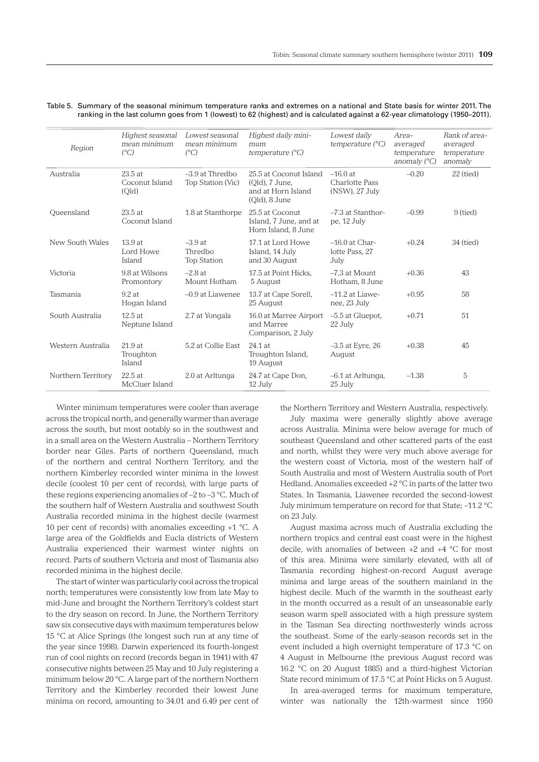| Region             | Highest seasonal<br>mean minimum<br>$(^{\circ}C)$ | Lowest seasonal<br>mean minimum<br>$(^{\circ}C)$ | Highest daily mini-<br>$m$ <sub>u</sub> $m$<br>temperature $(^{\circ}C)$        | Lowest daily<br>temperature $(^{\circ}C)$      | Area-<br>averaged<br>temperature<br>anomaly $(^{\circ}C)$ | Rank of area-<br>averaged<br>temperature<br>anomaly |
|--------------------|---------------------------------------------------|--------------------------------------------------|---------------------------------------------------------------------------------|------------------------------------------------|-----------------------------------------------------------|-----------------------------------------------------|
| Australia          | 23.5 at<br>Coconut Island<br>(Qld)                | $-3.9$ at Thredbo<br>Top Station (Vic)           | 25.5 at Coconut Island<br>(Old), 7 June,<br>and at Horn Island<br>(Old), 8 June | $-16.0$ at<br>Charlotte Pass<br>(NSW), 27 July | $-0.20$                                                   | $22$ (tied)                                         |
| Oueensland         | 23.5at<br>Coconut Island                          | 1.8 at Stanthorpe                                | 25.5 at Coconut<br>Island, 7 June, and at<br>Horn Island, 8 June                | $-7.3$ at Stanthor-<br>pe, 12 July             | $-0.99$                                                   | 9 (tied)                                            |
| New South Wales    | 13.9at<br>Lord Howe<br>Island                     | $-3.9$ at<br>Thredbo<br><b>Top Station</b>       | 17.1 at Lord Howe<br>Island, 14 July<br>and 30 August                           | $-16.0$ at Char-<br>lotte Pass, 27<br>July     | $+0.24$                                                   | 34 (tied)                                           |
| Victoria           | 9.8 at Wilsons<br>Promontory                      | $-2.8$ at<br>Mount Hotham                        | 17.5 at Point Hicks,<br>5 August                                                | $-7.3$ at Mount<br>Hotham, 8 June              | $+0.36$                                                   | 43                                                  |
| Tasmania           | $9.2$ at<br>Hogan Island                          | $-0.9$ at Liawenee                               | 13.7 at Cape Sorell,<br>25 August                                               | $-11.2$ at Liawe-<br>nee, 23 July              | $+0.95$                                                   | 58                                                  |
| South Australia    | 12.5 at<br>Neptune Island                         | 2.7 at Yongala                                   | 16.0 at Marree Airport<br>and Marree<br>Comparison, 2 July                      | -5.5 at Gluepot,<br>22 July                    | $+0.71$                                                   | 51                                                  |
| Western Australia  | 21.9at<br>Troughton<br>Island                     | 5.2 at Collie East                               | 24.1 at<br>Troughton Island,<br>19 August                                       | $-3.5$ at Eyre, 26<br>August                   | $+0.38$                                                   | 45                                                  |
| Northern Territory | 22.5 at<br>McCluer Island                         | 2.0 at Arltunga                                  | 24.7 at Cape Don,<br>12 July                                                    | -6.1 at Arltunga,<br>25 July                   | $-1.38$                                                   | 5                                                   |

Table 5. Summary of the seasonal minimum temperature ranks and extremes on a national and State basis for winter 2011. The ranking in the last column goes from 1 (lowest) to 62 (highest) and is calculated against a 62-year climatology (1950–2011).

Winter minimum temperatures were cooler than average across the tropical north, and generally warmer than average across the south, but most notably so in the southwest and in a small area on the Western Australia – Northern Territory border near Giles. Parts of northern Queensland, much of the northern and central Northern Territory, and the northern Kimberley recorded winter minima in the lowest decile (coolest 10 per cent of records), with large parts of these regions experiencing anomalies of –2 to –3 °C. Much of the southern half of Western Australia and southwest South Australia recorded minima in the highest decile (warmest 10 per cent of records) with anomalies exceeding +1 °C. A large area of the Goldfields and Eucla districts of Western Australia experienced their warmest winter nights on record. Parts of southern Victoria and most of Tasmania also recorded minima in the highest decile.

The start of winter was particularly cool across the tropical north; temperatures were consistently low from late May to mid-June and brought the Northern Territory's coldest start to the dry season on record. In June, the Northern Territory saw six consecutive days with maximum temperatures below 15 °C at Alice Springs (the longest such run at any time of the year since 1998). Darwin experienced its fourth-longest run of cool nights on record (records began in 1941) with 47 consecutive nights between 25 May and 10 July registering a minimum below 20 °C. A large part of the northern Northern Territory and the Kimberley recorded their lowest June minima on record, amounting to 34.01 and 6.49 per cent of the Northern Territory and Western Australia, respectively.

July maxima were generally slightly above average across Australia. Minima were below average for much of southeast Queensland and other scattered parts of the east and north, whilst they were very much above average for the western coast of Victoria, most of the western half of South Australia and most of Western Australia south of Port Hedland. Anomalies exceeded +2 °C in parts of the latter two States. In Tasmania, Liawenee recorded the second-lowest July minimum temperature on record for that State; –11.2 °C on 23 July.

August maxima across much of Australia excluding the northern tropics and central east coast were in the highest decile, with anomalies of between +2 and +4 °C for most of this area. Minima were similarly elevated, with all of Tasmania recording highest-on-record August average minima and large areas of the southern mainland in the highest decile. Much of the warmth in the southeast early in the month occurred as a result of an unseasonable early season warm spell associated with a high pressure system in the Tasman Sea directing northwesterly winds across the southeast. Some of the early-season records set in the event included a high overnight temperature of 17.3 °C on 4 August in Melbourne (the previous August record was 16.2 °C on 20 August 1885) and a third-highest Victorian State record minimum of 17.5 °C at Point Hicks on 5 August.

In area-averaged terms for maximum temperature, winter was nationally the 12th-warmest since 1950